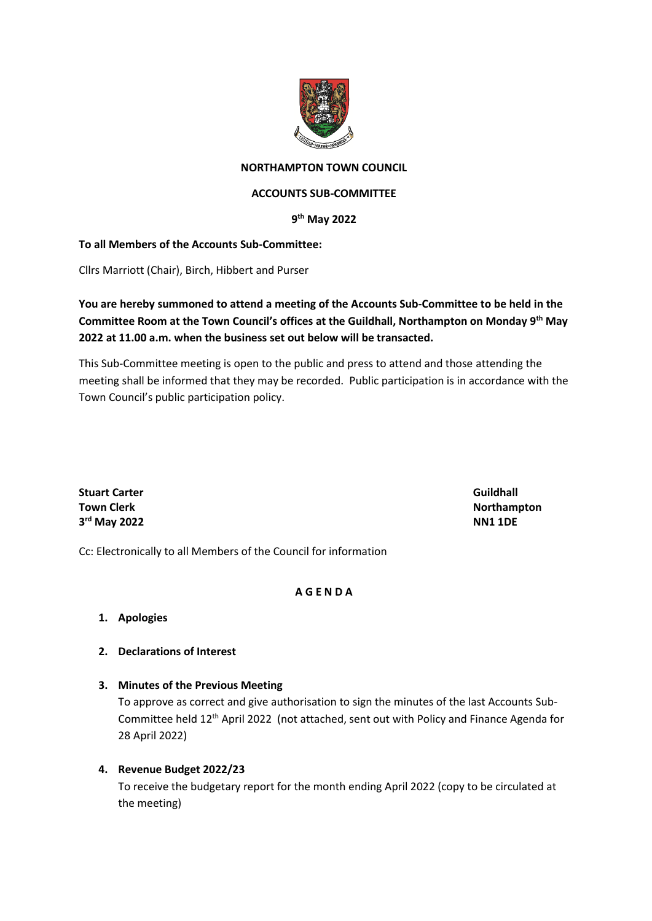

### **NORTHAMPTON TOWN COUNCIL**

#### **ACCOUNTS SUB-COMMITTEE**

#### **9 th May 2022**

#### **To all Members of the Accounts Sub-Committee:**

Cllrs Marriott (Chair), Birch, Hibbert and Purser

## **You are hereby summoned to attend a meeting of the Accounts Sub-Committee to be held in the Committee Room at the Town Council's offices at the Guildhall, Northampton on Monday 9th May 2022 at 11.00 a.m. when the business set out below will be transacted.**

This Sub-Committee meeting is open to the public and press to attend and those attending the meeting shall be informed that they may be recorded. Public participation is in accordance with the Town Council's public participation policy.

**Stuart Carter Guildhall 3 rd May 2022 NN1 1DE**

**Town Clerk Northampton** 

Cc: Electronically to all Members of the Council for information

#### **A G E N D A**

### **1. Apologies**

#### **2. Declarations of Interest**

#### **3. Minutes of the Previous Meeting**

To approve as correct and give authorisation to sign the minutes of the last Accounts Sub-Committee held 12th April 2022 (not attached, sent out with Policy and Finance Agenda for 28 April 2022)

#### **4. Revenue Budget 2022/23**

To receive the budgetary report for the month ending April 2022 (copy to be circulated at the meeting)